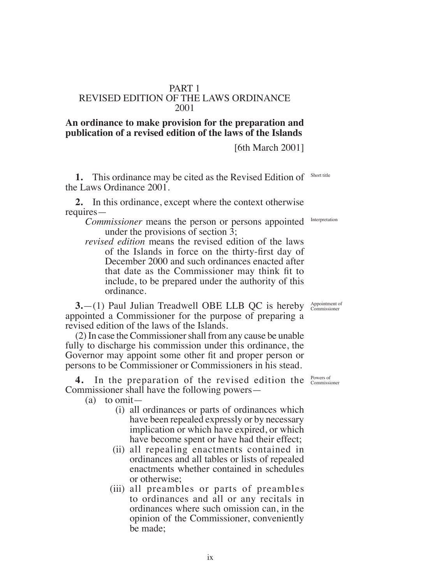## **An ordinance to make provision for the preparation and publication of a revised edition of the laws of the Islands**

PART 1 REVISED EDITION OF THE LAWS ORDINANCE 2001

[6th March 2001]

**1.** This ordinance may be cited as the Revised Edition of Short title the Laws Ordinance 2001.

**2.** In this ordinance, except where the context otherwise requires—

*Commissioner* means the person or persons appointed under the provisions of section 3;

*revised edition* means the revised edition of the laws of the Islands in force on the thirty-first day of December 2000 and such ordinances enacted after that date as the Commissioner may think fit to include, to be prepared under the authority of this ordinance.

**3.**—(1) Paul Julian Treadwell OBE LLB QC is hereby appointed a Commissioner for the purpose of preparing a revised edition of the laws of the Islands.

(2) In case the Commissioner shall from any cause be unable fully to discharge his commission under this ordinance, the Governor may appoint some other fit and proper person or persons to be Commissioner or Commissioners in his stead.

**4.** In the preparation of the revised edition the <sup>Powers of</sup> Commissioner shall have the following powers—

(a) to omit—

- (i) all ordinances or parts of ordinances which have been repealed expressly or by necessary implication or which have expired, or which have become spent or have had their effect;
- (ii) all repealing enactments contained in ordinances and all tables or lists of repealed enactments whether contained in schedules or otherwise;
- (iii) all preambles or parts of preambles to ordinances and all or any recitals in ordinances where such omission can, in the opinion of the Commissioner, conveniently be made;

Appointment of Commissioner

Interpretation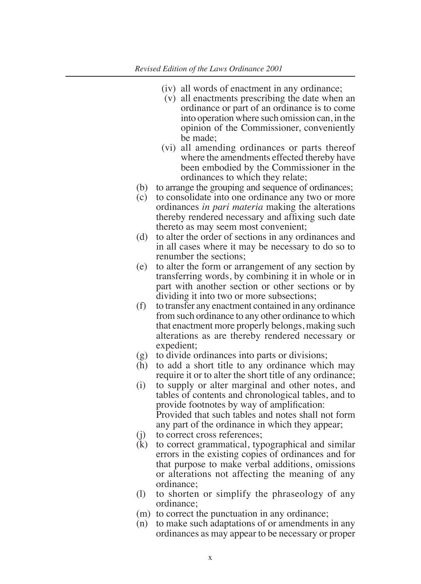- (iv) all words of enactment in any ordinance;
- (v) all enactments prescribing the date when an ordinance or part of an ordinance is to come into operation where such omission can, in the opinion of the Commissioner, conveniently be made;
- (vi) all amending ordinances or parts thereof where the amendments effected thereby have been embodied by the Commissioner in the ordinances to which they relate;
- (b) to arrange the grouping and sequence of ordinances;
- (c) to consolidate into one ordinance any two or more ordinances *in pari materia* making the alterations thereby rendered necessary and afixing such date thereto as may seem most convenient;
- (d) to alter the order of sections in any ordinances and in all cases where it may be necessary to do so to renumber the sections;
- (e) to alter the form or arrangement of any section by transferring words, by combining it in whole or in part with another section or other sections or by dividing it into two or more subsections;
- (f) to transfer any enactment contained in any ordinance from such ordinance to any other ordinance to which that enactment more properly belongs, making such alterations as are thereby rendered necessary or expedient;
- (g) to divide ordinances into parts or divisions;
- (h) to add a short title to any ordinance which may require it or to alter the short title of any ordinance;
- (i) to supply or alter marginal and other notes, and tables of contents and chronological tables, and to provide footnotes by way of amplification: Provided that such tables and notes shall not form any part of the ordinance in which they appear;
- (j) to correct cross references;<br>(k) to correct grammatical, type
- to correct grammatical, typographical and similar errors in the existing copies of ordinances and for that purpose to make verbal additions, omissions or alterations not affecting the meaning of any ordinance;
- (l) to shorten or simplify the phraseology of any ordinance;
- (m) to correct the punctuation in any ordinance;
- (n) to make such adaptations of or amendments in any ordinances as may appear to be necessary or proper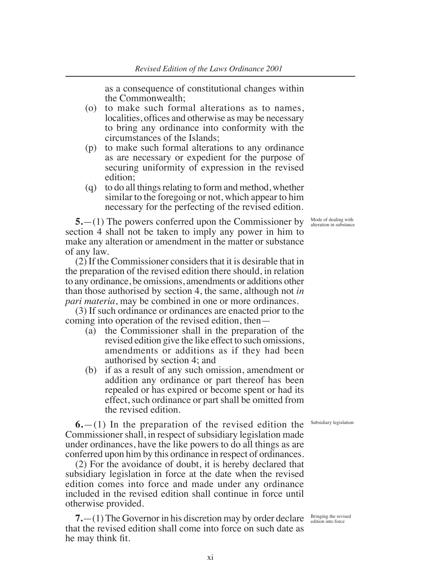as a consequence of constitutional changes within the Commonwealth;

- (o) to make such formal alterations as to names, localities, offices and otherwise as may be necessary to bring any ordinance into conformity with the circumstances of the Islands;
- (p) to make such formal alterations to any ordinance as are necessary or expedient for the purpose of securing uniformity of expression in the revised edition;
- (q) to do all things relating to form and method, whether similar to the foregoing or not, which appear to him necessary for the perfecting of the revised edition.

**5.**—(1) The powers conferred upon the Commissioner by section 4 shall not be taken to imply any power in him to make any alteration or amendment in the matter or substance of any law.

(2) If the Commissioner considers that it is desirable that in the preparation of the revised edition there should, in relation to any ordinance, be omissions, amendments or additions other than those authorised by section 4, the same, although not *in pari materia*, may be combined in one or more ordinances.

(3) If such ordinance or ordinances are enacted prior to the coming into operation of the revised edition, then—

- (a) the Commissioner shall in the preparation of the revised edition give the like effect to such omissions, amendments or additions as if they had been authorised by section 4; and
- (b) if as a result of any such omission, amendment or addition any ordinance or part thereof has been repealed or has expired or become spent or had its effect, such ordinance or part shall be omitted from the revised edition.

**6.**—(1) In the preparation of the revised edition the Commissioner shall, in respect of subsidiary legislation made under ordinances, have the like powers to do all things as are conferred upon him by this ordinance in respect of ordinances.

(2) For the avoidance of doubt, it is hereby declared that subsidiary legislation in force at the date when the revised edition comes into force and made under any ordinance included in the revised edition shall continue in force until otherwise provided.

**7.**—(1) The Governor in his discretion may by order declare that the revised edition shall come into force on such date as he may think fit.

Mode of dealing with alteration in substance

Subsidiary legislation

Bringing the revised edition into force